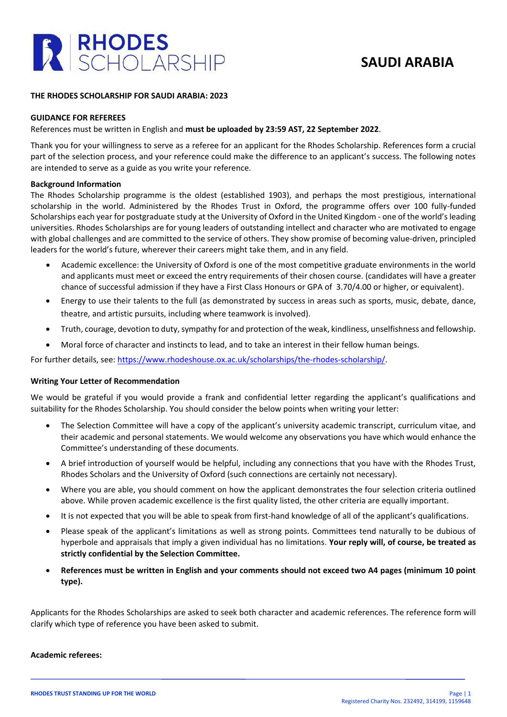

## **SAUDI ARABIA**

#### **THE RHODES SCHOLARSHIP FOR SAUDI ARABIA: 2023**

#### **GUIDANCE FOR REFEREES**

## References must be written in English and **must be uploaded by 23:59 AST, 22 September 2022**.

Thank you for your willingness to serve as a referee for an applicant for the Rhodes Scholarship. References form a crucial part of the selection process, and your reference could make the difference to an applicant's success. The following notes are intended to serve as a guide as you write your reference.

#### **Background Information**

The Rhodes Scholarship programme is the oldest (established 1903), and perhaps the most prestigious, international scholarship in the world. Administered by the Rhodes Trust in Oxford, the programme offers over 100 fully-funded Scholarships each year for postgraduate study at the University of Oxford in the United Kingdom - one of the world's leading universities. Rhodes Scholarships are for young leaders of outstanding intellect and character who are motivated to engage with global challenges and are committed to the service of others. They show promise of becoming value-driven, principled leaders for the world's future, wherever their careers might take them, and in any field.

- Academic excellence: the University of Oxford is one of the most competitive graduate environments in the world and applicants must meet or exceed the entry requirements of their chosen course. (candidates will have a greater chance of successful admission if they have a First Class Honours or GPA of 3.70/4.00 or higher, or equivalent).
- Energy to use their talents to the full (as demonstrated by success in areas such as sports, music, debate, dance, theatre, and artistic pursuits, including where teamwork is involved).
- Truth, courage, devotion to duty, sympathy for and protection of the weak, kindliness, unselfishness and fellowship.
- Moral force of character and instincts to lead, and to take an interest in their fellow human beings.

For further details, see: [https://www.rhodeshouse.ox.ac.uk/scholarships/the-rhodes-scholarship/.](https://www.rhodeshouse.ox.ac.uk/scholarships/the-rhodes-scholarship/)

#### **Writing Your Letter of Recommendation**

We would be grateful if you would provide a frank and confidential letter regarding the applicant's qualifications and suitability for the Rhodes Scholarship. You should consider the below points when writing your letter:

- The Selection Committee will have a copy of the applicant's university academic transcript, curriculum vitae, and their academic and personal statements. We would welcome any observations you have which would enhance the Committee's understanding of these documents.
- A brief introduction of yourself would be helpful, including any connections that you have with the Rhodes Trust, Rhodes Scholars and the University of Oxford (such connections are certainly not necessary).
- Where you are able, you should comment on how the applicant demonstrates the four selection criteria outlined above. While proven academic excellence is the first quality listed, the other criteria are equally important.
- It is not expected that you will be able to speak from first-hand knowledge of all of the applicant's qualifications.
- Please speak of the applicant's limitations as well as strong points. Committees tend naturally to be dubious of hyperbole and appraisals that imply a given individual has no limitations. **Your reply will, of course, be treated as strictly confidential by the Selection Committee.**
- **References must be written in English and your comments should not exceed two A4 pages (minimum 10 point type).**

Applicants for the Rhodes Scholarships are asked to seek both character and academic references. The reference form will clarify which type of reference you have been asked to submit.

#### **Academic referees:**